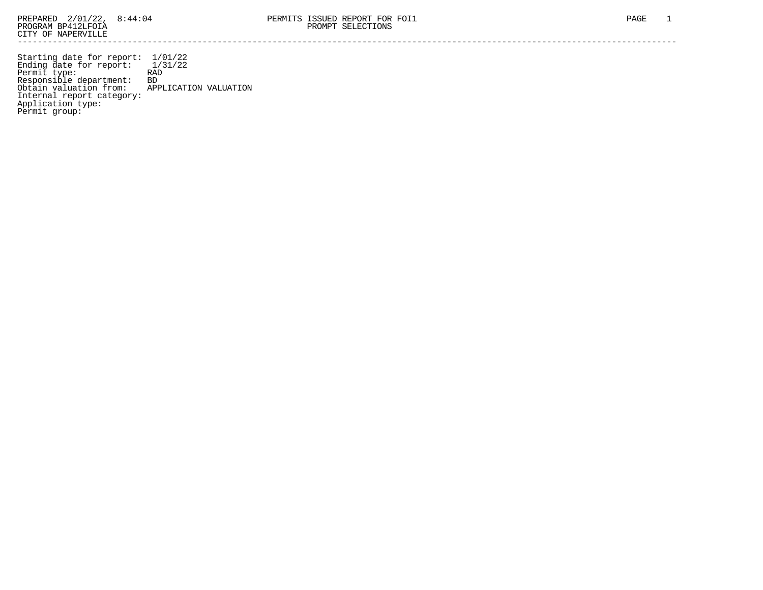Starting date for report: 1/01/22 Ending date for report: 1/31/22 Permit type: RAD Responsible department: BD Obtain valuation from: APPLICATION VALUATION Internal report category: Application type: Permit group: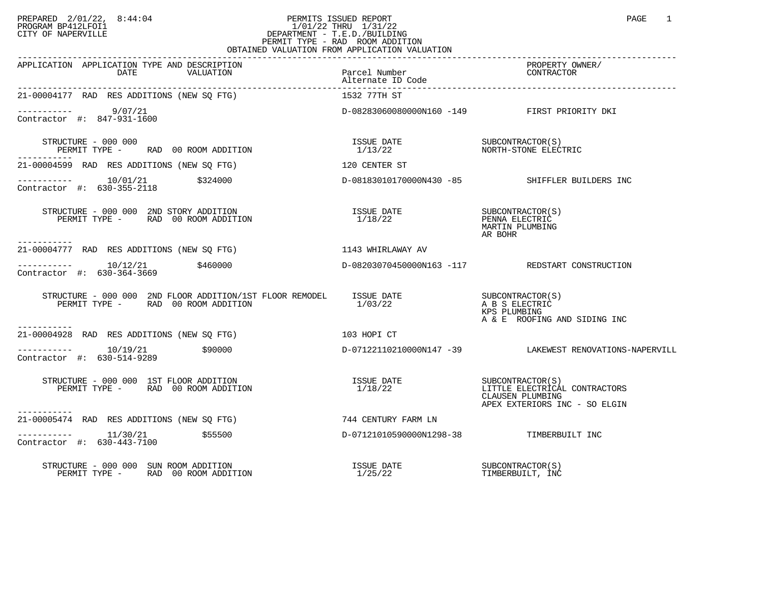## PREPARED 2/01/22, 8:44:04 PERMITS ISSUED REPORT PAGE 1 PROGRAM BP412LFOI1 1/01/22 THRU 1/31/22 CITY OF NAPERVILLE **Example 20** CITY OF NAPERVILLE PERMIT TYPE - RAD ROOM ADDITION OBTAINED VALUATION FROM APPLICATION VALUATION

| APPLICATION APPLICATION TYPE AND DESCRIPTION<br>DATE<br>VALUATION                                         | Parcel Number<br>Alternate ID Code | PROPERTY OWNER/<br>CONTRACTOR                                                       |
|-----------------------------------------------------------------------------------------------------------|------------------------------------|-------------------------------------------------------------------------------------|
| 21-00004177 RAD RES ADDITIONS (NEW SO FTG)                                                                | 1532 77TH ST                       |                                                                                     |
| $--------- 9/07/21$<br>Contractor #: 847-931-1600                                                         |                                    | D-08283060080000N160 -149 FIRST PRIORITY DKI                                        |
| STRUCTURE - 000 000<br>PERMIT TYPE - RAD 00 ROOM ADDITION<br>-----------                                  |                                    |                                                                                     |
| 21-00004599 RAD RES ADDITIONS (NEW SO FTG)                                                                | 120 CENTER ST                      |                                                                                     |
| $--------- 10/01/21$ \$324000<br>Contractor #: 630-355-2118                                               |                                    | D-08183010170000N430 -85 SHIFFLER BUILDERS INC                                      |
| STRUCTURE - 000 000 2ND STORY ADDITION<br>PERMIT TYPE - RAD 00 ROOM ADDITION                              |                                    | MARTIN PLUMBING<br>AR BOHR                                                          |
| -----------<br>21-00004777 RAD RES ADDITIONS (NEW SO FTG)                                                 | 1143 WHIRLAWAY AV                  |                                                                                     |
| $--------- 10/12/21$ \$460000<br>Contractor #: 630-364-3669                                               |                                    | D-08203070450000N163 -117 REDSTART CONSTRUCTION                                     |
| STRUCTURE - 000 000 2ND FLOOR ADDITION/1ST FLOOR REMODEL ISSUE DATE<br>PERMIT TYPE - RAD 00 ROOM ADDITION | 1/03/22                            | SUBCONTRACTOR (S)<br>A B S ELECTRIC<br>KPS PLUMBING<br>A & E ROOFING AND SIDING INC |
| -----------<br>21-00004928 RAD RES ADDITIONS (NEW SO FTG)                                                 | ли 103 норі СТ                     |                                                                                     |
| $---------$ 10/19/21 \$90000<br>Contractor #: 630-514-9289                                                |                                    | D-07122110210000N147 -39 LAKEWEST RENOVATIONS-NAPERVILL                             |
| STRUCTURE - 000 000 1ST FLOOR ADDITION<br>PERMIT TYPE - RAD 00 ROOM ADDITION                              |                                    | CLAUSEN PLUMBING<br>APEX EXTERIORS INC - SO ELGIN                                   |
| -----------<br>21-00005474 RAD RES ADDITIONS (NEW SO FTG)                                                 | 744 CENTURY FARM LN                |                                                                                     |
| ---------- 11/30/21 \$55500<br>Contractor #: 630-443-7100                                                 | D-07121010590000N1298-38           | TIMBERBUILT INC                                                                     |
| STRUCTURE - 000 000 SUN ROOM ADDITION<br>PERMIT TYPE - RAD 00 ROOM ADDITION                               | ISSUE DATE<br>1/25/22              | SUBCONTRACTOR(S)<br>TIMBERBUILT, INC                                                |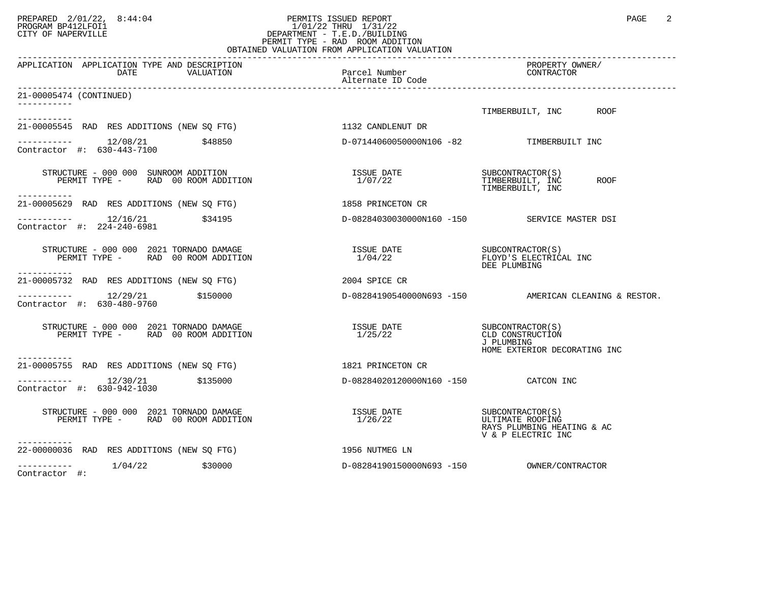## PREPARED 2/01/22, 8:44:04 PERMITS ISSUED REPORT PAGE 2 PROGRAM BP412LFOI1 1/01/22 THRU 1/31/22 CITY OF NAPERVILLE **Example 20** CITY OF NAPERVILLE PERMIT TYPE - RAD ROOM ADDITION OBTAINED VALUATION FROM APPLICATION VALUATION

| APPLICATION APPLICATION TYPE AND DESCRIPTION<br>DATE<br>VALUATION                             | Parcel Number<br>Alternate ID Code       | PROPERTY OWNER/<br>CONTRACTOR                                                            |
|-----------------------------------------------------------------------------------------------|------------------------------------------|------------------------------------------------------------------------------------------|
| 21-00005474 (CONTINUED)                                                                       |                                          |                                                                                          |
|                                                                                               |                                          | TIMBERBUILT, INC ROOF                                                                    |
| -----------<br>21-00005545 RAD RES ADDITIONS (NEW SQ FTG)                                     | 1132 CANDLENUT DR                        |                                                                                          |
| $--------- 12/08/21$<br>\$48850<br>Contractor #: 630-443-7100                                 | D-07144060050000N106 -82 TIMBERBUILT INC |                                                                                          |
| STRUCTURE - 000 000 SUNROOM ADDITION<br>PERMIT TYPE - RAD 00 ROOM ADDITION                    | ISSUE DATE<br>1/07/22                    | SUBCONTRACTOR(S)<br>TIMBERBUILT, INC<br>ROOF<br>TIMBERBUILT, INC                         |
| 21-00005629 RAD RES ADDITIONS (NEW SQ FTG)                                                    | 1858 PRINCETON CR                        |                                                                                          |
| -----------    12/16/21<br>\$34195<br>Contractor #: 224-240-6981                              |                                          | D-08284030030000N160 -150 SERVICE MASTER DSI                                             |
| STRUCTURE - 000 000 2021 TORNADO DAMAGE<br>PERMIT TYPE - RAD 00 ROOM ADDITION<br>-----------  | ISSUE DATE SUBCONTRACTOR(S)<br>1/04/22   | FLOYD'S ELECTRICAL INC<br>DEE PLUMBING                                                   |
| 21-00005732 RAD RES ADDITIONS (NEW SQ FTG)                                                    | 2004 SPICE CR                            |                                                                                          |
| $------- 12/29/21$<br>\$150000<br>Contractor #: 630-480-9760                                  |                                          | $D-08284190540000N693 -150$ AMERICAN CLEANING & RESTOR.                                  |
| STRUCTURE - 000 000 2021 TORNADO DAMAGE<br>PERMIT TYPE - RAD 00 ROOM ADDITION<br>------------ | ISSUE DATE<br>1/25/22                    | SUBCONTRACTOR (S)<br>CLD CONSTRUCTION<br>J PLUMBING<br>HOME EXTERIOR DECORATING INC      |
| 21-00005755 RAD RES ADDITIONS (NEW SQ FTG)                                                    | 1821 PRINCETON CR                        |                                                                                          |
| Contractor #: 630-942-1030                                                                    | D-08284020120000N160 -150 CATCON INC     |                                                                                          |
| STRUCTURE - 000 000 2021 TORNADO DAMAGE<br>PERMIT TYPE - RAD 00 ROOM ADDITION                 | ISSUE DATE<br>1/26/22                    | SUBCONTRACTOR(S)<br>ULTIMATE ROOFING<br>RAYS PLUMBING HEATING & AC<br>V & P ELECTRIC INC |
| 22-00000036 RAD RES ADDITIONS (NEW SQ FTG)                                                    | 1956 NUTMEG LN                           |                                                                                          |
| 1/04/22<br>\$30000<br>Contractor #:                                                           | D-08284190150000N693 -150                | OWNER/CONTRACTOR                                                                         |